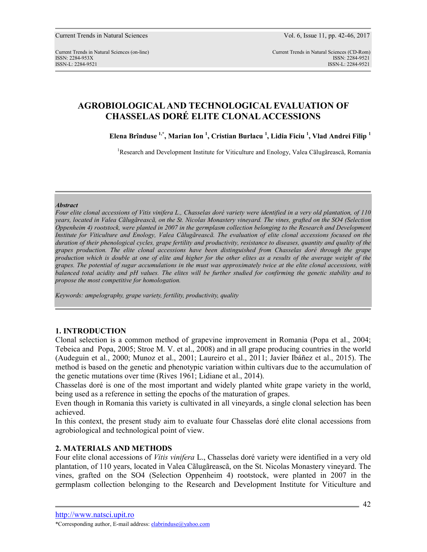# **AGROBIOLOGICAL AND TECHNOLOGICAL EVALUATION OF CHASSELAS DORÉ ELITE CLONAL ACCESSIONS**

**Elena Brînduse 1,\*, Marian Ion <sup>1</sup> , Cristian Burlacu <sup>1</sup> , Lidia Ficiu <sup>1</sup> , Vlad Andrei Filip <sup>1</sup>**

<sup>1</sup>Research and Development Institute for Viticulture and Enology, Valea Cãlugãreascã, Romania

#### *Abstract*

*Four elite clonal accessions of Vitis vinifera L., Chasselas doré variety were identified in a very old plantation, of 110 years, located in Valea Cãlugãreascã, on the St. Nicolas Monastery vineyard. The vines, grafted on the SO4 (Selection Oppenheim 4) rootstock, were planted in 2007 in the germplasm collection belonging to the Research and Development Institute for Viticulture and Enology, Valea Cãlugãreascã. The evaluation of elite clonal accessions focused on the duration of their phenological cycles, grape fertility and productivity, resistance to diseases, quantity and quality of the grapes production. The elite clonal accessions have been distinguished from Chasselas doré through the grape production which is double at one of elite and higher for the other elites as a results of the average weight of the grapes. The potential of sugar accumulations in the must was approximately twice at the elite clonal accessions, with balanced total acidity and pH values. The elites will be further studied for confirming the genetic stability and to propose the most competitive for homologation.* 

*Keywords: ampelography, grape variety, fertility, productivity, quality* 

### **1. INTRODUCTION**

Clonal selection is a common method of grapevine improvement in Romania (Popa et al., 2004; Tebeica and Popa, 2005; Stroe M. V. et al., 2008) and in all grape producing countries in the world (Audeguin et al., 2000; Munoz et al., 2001; Laureiro et al., 2011; Javier Ibáñez et al., 2015). The method is based on the genetic and phenotypic variation within cultivars due to the accumulation of the genetic mutations over time (Rives 1961; Lidiane et al., 2014).

Chasselas doré is one of the most important and widely planted white grape variety in the world, being used as a reference in setting the epochs of the maturation of grapes.

Even though in Romania this variety is cultivated in all vineyards, a single clonal selection has been achieved.

In this context, the present study aim to evaluate four Chasselas doré elite clonal accessions from agrobiological and technological point of view.

### **2. MATERIALS AND METHODS**

Four elite clonal accessions of *Vitis vinifera* L., Chasselas doré variety were identified in a very old plantation, of 110 years, located in Valea Cãlugãreascã, on the St. Nicolas Monastery vineyard. The vines, grafted on the SO4 (Selection Oppenheim 4) rootstock, were planted in 2007 in the germplasm collection belonging to the Research and Development Institute for Viticulture and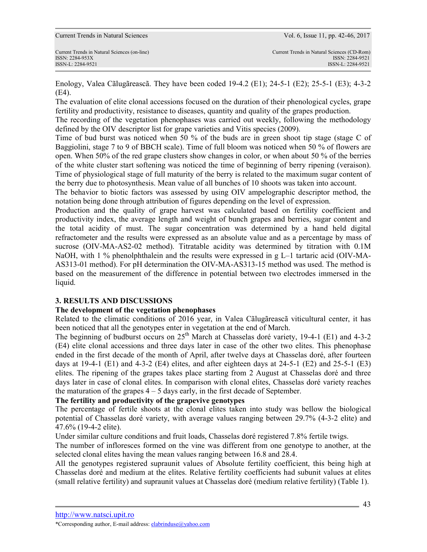Enology, Valea Cãlugãreascã. They have been coded 19-4.2 (E1); 24-5-1 (E2); 25-5-1 (E3); 4-3-2 (E4).

The evaluation of elite clonal accessions focused on the duration of their phenological cycles, grape fertility and productivity, resistance to diseases, quantity and quality of the grapes production.

The recording of the vegetation phenophases was carried out weekly, following the methodology defined by the OIV descriptor list for grape varieties and Vitis species (2009).

Time of bud burst was noticed when 50 % of the buds are in green shoot tip stage (stage C of Baggiolini, stage 7 to 9 of BBCH scale). Time of full bloom was noticed when 50 % of flowers are open. When 50% of the red grape clusters show changes in color, or when about 50 % of the berries of the white cluster start softening was noticed the time of beginning of berry ripening (veraison). Time of physiological stage of full maturity of the berry is related to the maximum sugar content of the berry due to photosynthesis. Mean value of all bunches of 10 shoots was taken into account.

The behavior to biotic factors was assessed by using OIV ampelographic descriptor method, the notation being done through attribution of figures depending on the level of expression.

Production and the quality of grape harvest was calculated based on fertility coefficient and productivity index, the average length and weight of bunch grapes and berries, sugar content and the total acidity of must. The sugar concentration was determined by a hand held digital refractometer and the results were expressed as an absolute value and as a percentage by mass of sucrose (OIV-MA-AS2-02 method). Titratable acidity was determined by titration with 0.1M NaOH, with 1 % phenolphthalein and the results were expressed in  $g L-1$  tartaric acid (OIV-MA-AS313-01 method). For pH determination the OIV-MA-AS313-15 method was used. The method is based on the measurement of the difference in potential between two electrodes immersed in the liquid.

# **3. RESULTS AND DISCUSSIONS**

## **The development of the vegetation phenophases**

Related to the climatic conditions of 2016 year, in Valea Cãlugãreascã viticultural center, it has been noticed that all the genotypes enter in vegetation at the end of March.

The beginning of budburst occurs on  $25<sup>th</sup>$  March at Chasselas doré variety, 19-4-1 (E1) and 4-3-2 (E4) elite clonal accessions and three days later in case of the other two elites. This phenophase ended in the first decade of the month of April, after twelve days at Chasselas doré, after fourteen days at 19-4-1 (E1) and 4-3-2 (E4) elites, and after eighteen days at 24-5-1 (E2) and 25-5-1 (E3) elites. The ripening of the grapes takes place starting from 2 August at Chasselas doré and three days later in case of clonal elites. In comparison with clonal elites, Chasselas doré variety reaches the maturation of the grapes  $4 - 5$  days early, in the first decade of September.

## **The fertility and productivity of the grapevive genotypes**

The percentage of fertile shoots at the clonal elites taken into study was bellow the biological potential of Chasselas doré variety, with average values ranging between 29.7% (4-3-2 elite) and 47.6% (19-4-2 elite).

Under similar culture conditions and fruit loads, Chasselas doré registered 7.8% fertile twigs.

The number of infloresces formed on the vine was different from one genotype to another, at the selected clonal elites having the mean values ranging between 16.8 and 28.4.

All the genotypes registered supraunit values of Absolute fertility coefficient, this being high at Chasselas doré and medium at the elites. Relative fertility coefficients had subunit values at elites (small relative fertility) and supraunit values at Chasselas doré (medium relative fertility) (Table 1).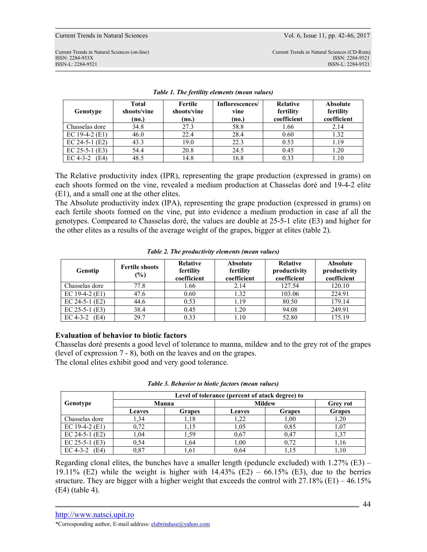Current Trends in Natural Sciences Vol. 6, Issue 11, pp. 42-46, 2017

ISSN-L: 2284-9521 ISSN-L: 2284-9521

| Genotype         | <b>Total</b><br>shoots/vine<br>(no.) | Fertile<br>shoots/vine<br>(no.) | Inflorescences/<br>vine<br>(no.) | <b>Relative</b><br>fertility<br>coefficient | <b>Absolute</b><br>fertility<br>coefficient |
|------------------|--------------------------------------|---------------------------------|----------------------------------|---------------------------------------------|---------------------------------------------|
| Chasselas dore   | 34.8                                 | 27.3                            | 58.8                             | 1.66                                        | 2.14                                        |
| EC 19-4-2 $(E1)$ | 46.0                                 | 22.4                            | 28.4                             | 0.60                                        | 1.32                                        |
| EC 24-5-1 $(E2)$ | 43.3                                 | 19.0                            | 22.3                             | 0.53                                        | 1.19                                        |
| EC $25-5-1$ (E3) | 54.4                                 | 20.8                            | 24.5                             | 0.45                                        | 1.20                                        |
| EC 4-3-2<br>(E4) | 48.5                                 | 14.8                            | 16.8                             | 0.33                                        | 1.10                                        |

*Table 1. The fertility elements (mean values)* 

The Relative productivity index (IPR), representing the grape production (expressed in grams) on each shoots formed on the vine, revealed a medium production at Chasselas doré and 19-4-2 elite (E1), and a small one at the other elites.

The Absolute productivity index (IPA), representing the grape production (expressed in grams) on each fertile shoots formed on the vine, put into evidence a medium production in case af all the genotypes. Compeared to Chasselas doré, the values are double at 25-5-1 elite (E3) and higher for the other elites as a results of the average weight of the grapes, bigger at elites (table 2).

| Genotip            | <b>Fertile shoots</b><br>$(\%)$ | Relative<br>fertility<br>coefficient | <b>Absolute</b><br>fertility<br>coefficient | Relative<br>productivity<br>coefficient | <b>Absolute</b><br>productivity<br>coefficient |
|--------------------|---------------------------------|--------------------------------------|---------------------------------------------|-----------------------------------------|------------------------------------------------|
| Chasselas dore     | 77.8                            | 1.66                                 | 2.14                                        | 127.54                                  | 120.10                                         |
| EC 19-4-2 $(E1)$   | 47.6                            | 0.60                                 | 1.32                                        | 103.06                                  | 224.91                                         |
| EC 24-5-1 $(E2)$   | 44.6                            | 0.53                                 | 1.19                                        | 80.50                                   | 179.14                                         |
| $EC$ 25-5-1 $(E3)$ | 38.4                            | 0.45                                 | 1.20                                        | 94.08                                   | 249.91                                         |
| (E4)<br>EC 4-3-2   | 29.7                            | 0.33                                 | 1.10                                        | 52.80                                   | 175.19                                         |

|  | Table 2. The productivity elements (mean values) |  |  |
|--|--------------------------------------------------|--|--|
|--|--------------------------------------------------|--|--|

## **Evaluation of behavior to biotic factors**

Chasselas doré presents a good level of tolerance to manna, mildew and to the grey rot of the grapes (level of expression 7 - 8), both on the leaves and on the grapes. The clonal elites exhibit good and very good tolerance.

|                  | Level of tolerance (percent of atack degree) to |               |               |               |                 |  |  |
|------------------|-------------------------------------------------|---------------|---------------|---------------|-----------------|--|--|
| Genotype         | Manna                                           |               | <b>Mildew</b> |               | <b>Grey rot</b> |  |  |
|                  | <b>Leaves</b>                                   | <b>Grapes</b> | <b>Leaves</b> | <b>Grapes</b> | <b>Grapes</b>   |  |  |
| Chasselas dore   | 1.34                                            | 1.18          | 1,22          | 1,00          | 1,20            |  |  |
| EC 19-4-2 $(E1)$ | 0.72                                            | 1.15          | 1,05          | 0.85          | 1,07            |  |  |
| EC 24-5-1 $(E2)$ | 1.04                                            | 1.59          | 0.67          | 0.47          | 1,37            |  |  |
| EC $25-5-1$ (E3) | 0.54                                            | .64           | 1.00          | 0.72          | 1.16            |  |  |
| EC 4-3-2<br>(E4) | 0.87                                            | .61           | 0.64          | 1.15          | 1,10            |  |  |

Regarding clonal elites, the bunches have a smaller length (peduncle excluded) with  $1.27\%$  (E3) – 19.11% (E2) while the weight is higher with  $14.43\%$  (E2) – 66.15% (E3), due to the berries structure. They are bigger with a higher weight that exceeds the control with  $27.18\%$  (E1) – 46.15% (E4) (table 4).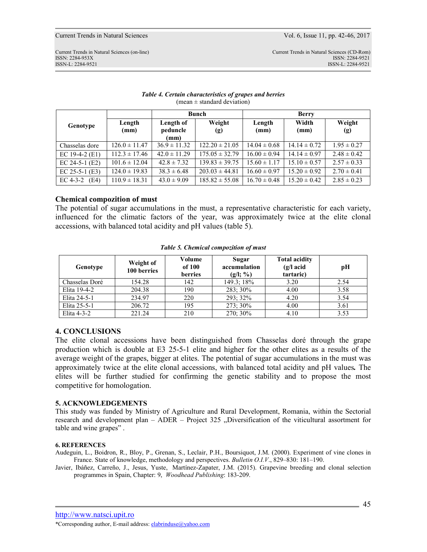#### *Table 4. Certain characteristics of grapes and berries*  (mean  $\pm$  standard deviation)

|                  |                   | <b>Bunch</b>                  |                    | <b>Berry</b>     |                  |                 |
|------------------|-------------------|-------------------------------|--------------------|------------------|------------------|-----------------|
| Genotype         | Length<br>(mm)    | Length of<br>peduncle<br>(mm) | Weight<br>(g)      | Length<br>(mm)   | Width<br>(mm)    | Weight<br>(g)   |
| Chasselas dore   | $126.0 \pm 11.47$ | $36.9 \pm 11.32$              | $122.20 \pm 21.05$ | $14.04 \pm 0.68$ | $14.14 \pm 0.72$ | $1.95 \pm 0.27$ |
| EC 19-4-2 $(E1)$ | $112.3 \pm 17.46$ | $42.0 \pm 11.29$              | $175.05 \pm 32.79$ | $16.00 \pm 0.94$ | $14.14 \pm 0.97$ | $2.48 \pm 0.42$ |
| EC 24-5-1 $(E2)$ | $101.6 \pm 12.04$ | $42.8 \pm 7.32$               | $139.83 \pm 39.75$ | $15.60 \pm 1.17$ | $15.10 \pm 0.57$ | $2.57 \pm 0.33$ |
| $EC 25-5-1 (E3)$ | $124.0 \pm 19.83$ | $38.3 \pm 6.48$               | $203.03 \pm 44.81$ | $16.60 \pm 0.97$ | $15.20 \pm 0.92$ | $2.70 \pm 0.41$ |
| EC 4-3-2 $(E4)$  | $110.9 \pm 18.31$ | $43.0 \pm 9.09$               | $185.82 \pm 55.08$ | $16.70 \pm 0.48$ | $15.20 \pm 0.42$ | $2.85 \pm 0.23$ |

#### **Chemical compozition of must**

The potential of sugar accumulations in the must, a representative characteristic for each variety, influenced for the climatic factors of the year, was approximately twice at the elite clonal accessions, with balanced total acidity and pH values (table 5).

| Genotype       | Weight of<br>100 berries | Volume<br>of 100<br>berries | Sugar<br>accumulation<br>$(g/l; \% )$ | <b>Total acidity</b><br>$(g/l \text{ acid})$<br>tartaric) | pН   |
|----------------|--------------------------|-----------------------------|---------------------------------------|-----------------------------------------------------------|------|
| Chasselas Doré | 154.28                   | 142                         | 149.3: 18%                            | 3.20                                                      | 2.54 |
| Elita 19-4-2   | 204.38                   | 190                         | 283; 30%                              | 4.00                                                      | 3.58 |
| Elita 24-5-1   | 234.97                   | 220                         | 293; 32%                              | 4.20                                                      | 3.54 |
| Elita 25-5-1   | 206.72                   | 195                         | 273; 30%                              | 4.00                                                      | 3.61 |
| Elita 4-3-2    | 221.24                   | 210                         | 270; 30%                              | 4.10                                                      | 3.53 |

#### *Table 5. Chemical compozition of must*

### **4. CONCLUSIONS**

The elite clonal accessions have been distinguished from Chasselas doré through the grape production which is double at E3 25-5-1 elite and higher for the other elites as a results of the average weight of the grapes, bigger at elites. The potential of sugar accumulations in the must was approximately twice at the elite clonal accessions, with balanced total acidity and pH values*.* The elites will be further studied for confirming the genetic stability and to propose the most competitive for homologation.

#### **5. ACKNOWLEDGEMENTS**

This study was funded by Ministry of Agriculture and Rural Development, Romania, within the Sectorial research and development plan – ADER – Project 325 "Diversification of the viticultural assortment for table and wine grapes" .

#### **6. REFERENCES**

Audeguin, L., Boidron, R., Bloy, P., Grenan, S., Leclair, P.H., Boursiquot, J.M. (2000). Experiment of vine clones in France. State of knowledge, methodology and perspectives. *Bulletin O.I.V*., 829–830: 181–190.

Javier, Ibáñez, Carreño, J., Jesus, Yuste, Martínez-Zapater, J.M. (2015). Grapevine breeding and clonal selection programmes in Spain, Chapter: 9, *Woodhead Publishing*: 183-209.